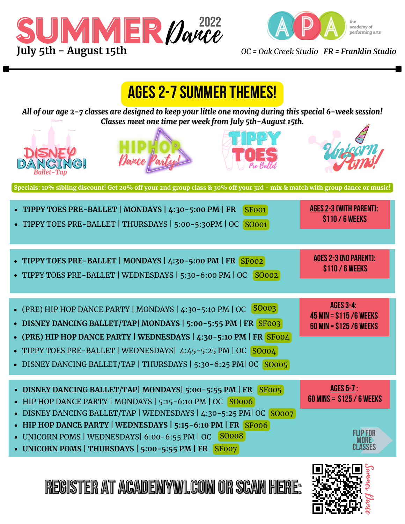





**Register at academywi.com or scan here:**